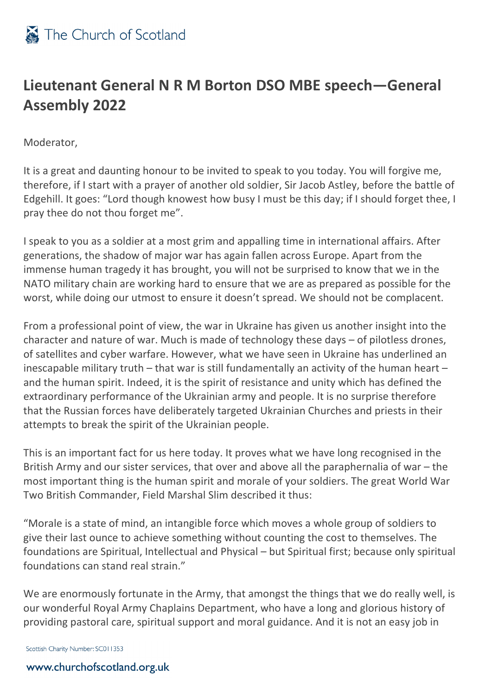

## **Lieutenant General N R M Borton DSO MBE speech—General Assembly 2022**

Moderator,

It is a great and daunting honour to be invited to speak to you today. You will forgive me, therefore, if I start with a prayer of another old soldier, Sir Jacob Astley, before the battle of Edgehill. It goes: "Lord though knowest how busy I must be this day; if I should forget thee, I pray thee do not thou forget me".

I speak to you as a soldier at a most grim and appalling time in international affairs. After generations, the shadow of major war has again fallen across Europe. Apart from the immense human tragedy it has brought, you will not be surprised to know that we in the NATO military chain are working hard to ensure that we are as prepared as possible for the worst, while doing our utmost to ensure it doesn't spread. We should not be complacent.

From a professional point of view, the war in Ukraine has given us another insight into the character and nature of war. Much is made of technology these days – of pilotless drones, of satellites and cyber warfare. However, what we have seen in Ukraine has underlined an inescapable military truth – that war is still fundamentally an activity of the human heart – and the human spirit. Indeed, it is the spirit of resistance and unity which has defined the extraordinary performance of the Ukrainian army and people. It is no surprise therefore that the Russian forces have deliberately targeted Ukrainian Churches and priests in their attempts to break the spirit of the Ukrainian people.

This is an important fact for us here today. It proves what we have long recognised in the British Army and our sister services, that over and above all the paraphernalia of war – the most important thing is the human spirit and morale of your soldiers. The great World War Two British Commander, Field Marshal Slim described it thus:

"Morale is a state of mind, an intangible force which moves a whole group of soldiers to give their last ounce to achieve something without counting the cost to themselves. The foundations are Spiritual, Intellectual and Physical – but Spiritual first; because only spiritual foundations can stand real strain."

We are enormously fortunate in the Army, that amongst the things that we do really well, is our wonderful Royal Army Chaplains Department, who have a long and glorious history of providing pastoral care, spiritual support and moral guidance. And it is not an easy job in

Scottish Charity Number: SC011353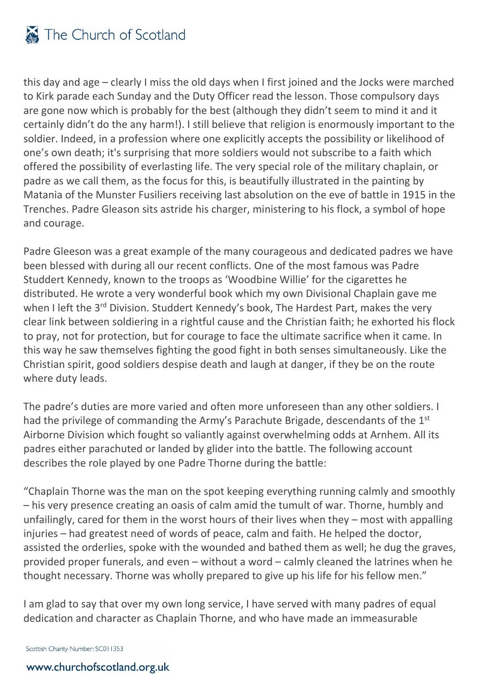

this day and age – clearly I miss the old days when I first joined and the Jocks were marched to Kirk parade each Sunday and the Duty Officer read the lesson. Those compulsory days are gone now which is probably for the best (although they didn't seem to mind it and it certainly didn't do the any harm!). I still believe that religion is enormously important to the soldier. Indeed, in a profession where one explicitly accepts the possibility or likelihood of one's own death; it's surprising that more soldiers would not subscribe to a faith which offered the possibility of everlasting life. The very special role of the military chaplain, or padre as we call them, as the focus for this, is beautifully illustrated in the painting by Matania of the Munster Fusiliers receiving last absolution on the eve of battle in 1915 in the Trenches. Padre Gleason sits astride his charger, ministering to his flock, a symbol of hope and courage.

Padre Gleeson was a great example of the many courageous and dedicated padres we have been blessed with during all our recent conflicts. One of the most famous was Padre Studdert Kennedy, known to the troops as 'Woodbine Willie' for the cigarettes he distributed. He wrote a very wonderful book which my own Divisional Chaplain gave me when I left the 3<sup>rd</sup> Division. Studdert Kennedy's book, The Hardest Part, makes the very clear link between soldiering in a rightful cause and the Christian faith; he exhorted his flock to pray, not for protection, but for courage to face the ultimate sacrifice when it came. In this way he saw themselves fighting the good fight in both senses simultaneously. Like the Christian spirit, good soldiers despise death and laugh at danger, if they be on the route where duty leads.

The padre's duties are more varied and often more unforeseen than any other soldiers. I had the privilege of commanding the Army's Parachute Brigade, descendants of the 1<sup>st</sup> Airborne Division which fought so valiantly against overwhelming odds at Arnhem. All its padres either parachuted or landed by glider into the battle. The following account describes the role played by one Padre Thorne during the battle:

"Chaplain Thorne was the man on the spot keeping everything running calmly and smoothly – his very presence creating an oasis of calm amid the tumult of war. Thorne, humbly and unfailingly, cared for them in the worst hours of their lives when they – most with appalling injuries – had greatest need of words of peace, calm and faith. He helped the doctor, assisted the orderlies, spoke with the wounded and bathed them as well; he dug the graves, provided proper funerals, and even – without a word – calmly cleaned the latrines when he thought necessary. Thorne was wholly prepared to give up his life for his fellow men."

I am glad to say that over my own long service, I have served with many padres of equal dedication and character as Chaplain Thorne, and who have made an immeasurable

Scottish Charity Number: SC011353